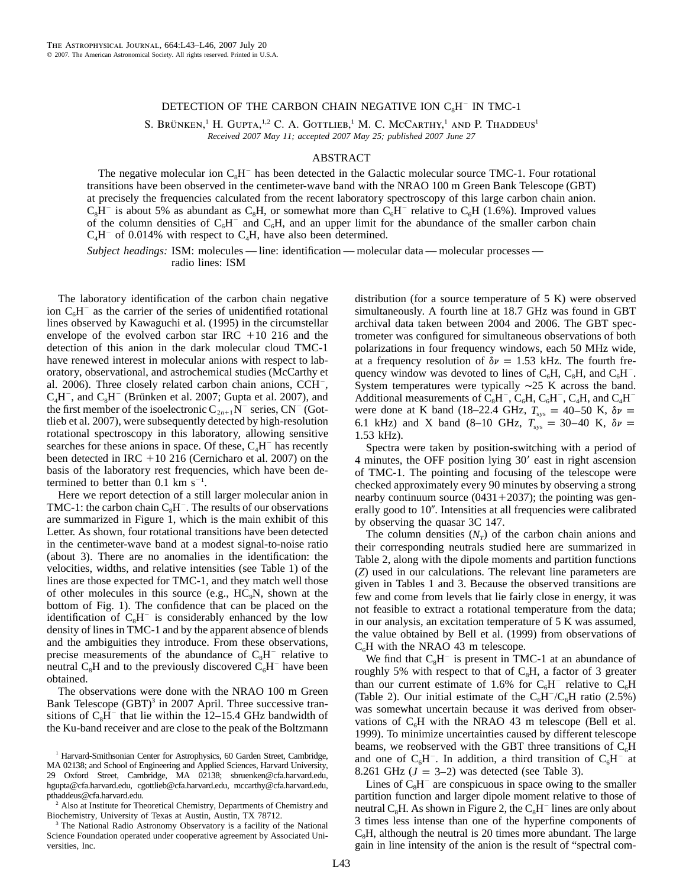## DETECTION OF THE CARBON CHAIN NEGATIVE ION  $C_8H^-$  IN TMC-1

S. BRÜNKEN,<sup>1</sup> H. GUPTA,<sup>1,2</sup> C. A. GOTTLIEB,<sup>1</sup> M. C. McCarthy,<sup>1</sup> and P. Thaddeus<sup>1</sup> *Received 2007 May 11; accepted 2007 May 25; published 2007 June 27*

## ABSTRACT

The negative molecular ion  $C_sH^-$  has been detected in the Galactic molecular source TMC-1. Four rotational transitions have been observed in the centimeter-wave band with the NRAO 100 m Green Bank Telescope (GBT) at precisely the frequencies calculated from the recent laboratory spectroscopy of this large carbon chain anion.  $C_8H^-$  is about 5% as abundant as  $C_8H$ , or somewhat more than  $C_6H^-$  relative to  $C_6H$  (1.6%). Improved values of the column densities of  $C_6H^-$  and  $C_6H$ , and an upper limit for the abundance of the smaller carbon chain  $C<sub>4</sub>H<sup>-</sup>$  of 0.014% with respect to  $C<sub>4</sub>H$ , have also been determined.

*Subject headings:* ISM: molecules — line: identification — molecular data — molecular processes radio lines: ISM

The laboratory identification of the carbon chain negative ion  $C_6H^-$  as the carrier of the series of unidentified rotational lines observed by Kawaguchi et al. (1995) in the circumstellar envelope of the evolved carbon star IRC  $+10$  216 and the detection of this anion in the dark molecular cloud TMC-1 have renewed interest in molecular anions with respect to laboratory, observational, and astrochemical studies (McCarthy et al. 2006). Three closely related carbon chain anions,  $CCH^-$ ,  $C_4H^-$ , and  $C_8H^-$  (Brünken et al. 2007; Gupta et al. 2007), and the first member of the isoelectronic  $C_{2n+1}\bar{N}^-$  series,  $CN^-$  (Gottlieb et al. 2007), were subsequently detected by high-resolution rotational spectroscopy in this laboratory, allowing sensitive searches for these anions in space. Of these,  $C<sub>4</sub>H<sup>-</sup>$  has recently been detected in IRC +10 216 (Cernicharo et al. 2007) on the basis of the laboratory rest frequencies, which have been determined to better than  $0.1 \text{ km s}^{-1}$ .

Here we report detection of a still larger molecular anion in TMC-1: the carbon chain  $C_8H^-$ . The results of our observations are summarized in Figure 1, which is the main exhibit of this Letter. As shown, four rotational transitions have been detected in the centimeter-wave band at a modest signal-to-noise ratio (about 3). There are no anomalies in the identification: the velocities, widths, and relative intensities (see Table 1) of the lines are those expected for TMC-1, and they match well those of other molecules in this source (e.g.,  $HC_0N$ , shown at the bottom of Fig. 1). The confidence that can be placed on the identification of  $C_8H^-$  is considerably enhanced by the low density of lines in TMC-1 and by the apparent absence of blends and the ambiguities they introduce. From these observations, precise measurements of the abundance of  $C_8H^-$  relative to neutral  $C_8H$  and to the previously discovered  $C_6H^-$  have been obtained.

The observations were done with the NRAO 100 m Green Bank Telescope  $(GBT)^3$  in 2007 April. Three successive transitions of  $C_8H^-$  that lie within the 12–15.4 GHz bandwidth of the Ku-band receiver and are close to the peak of the Boltzmann distribution (for a source temperature of 5 K) were observed simultaneously. A fourth line at 18.7 GHz was found in GBT archival data taken between 2004 and 2006. The GBT spectrometer was configured for simultaneous observations of both polarizations in four frequency windows, each 50 MHz wide, at a frequency resolution of  $\delta \nu = 1.53$  kHz. The fourth frequency window was devoted to lines of  $C_6H$ ,  $C_8H$ , and  $C_6H^-$ . System temperatures were typically ∼25 K across the band. Additional measurements of  $C_8H^-, C_6H, C_6H^-, C_4H$ , and  $C_4H^$ were done at K band (18–22.4 GHz,  $T_{sys} = 40-50$  K,  $\delta \nu =$ 6.1 kHz) and X band (8–10 GHz,  $T_{sys} = 30-40$  K,  $\delta \nu =$ 1.53 kHz).

Spectra were taken by position-switching with a period of 4 minutes, the OFF position lying 30' east in right ascension of TMC-1. The pointing and focusing of the telescope were checked approximately every 90 minutes by observing a strong nearby continuum source  $(0431 + 2037)$ ; the pointing was generally good to 10". Intensities at all frequencies were calibrated by observing the quasar 3C 147.

The column densities  $(N<sub>r</sub>)$  of the carbon chain anions and their corresponding neutrals studied here are summarized in Table 2, along with the dipole moments and partition functions (*Z*) used in our calculations. The relevant line parameters are given in Tables 1 and 3. Because the observed transitions are few and come from levels that lie fairly close in energy, it was not feasible to extract a rotational temperature from the data; in our analysis, an excitation temperature of 5 K was assumed, the value obtained by Bell et al. (1999) from observations of  $C_6H$  with the NRAO 43 m telescope.

We find that  $C_8H^-$  is present in TMC-1 at an abundance of roughly 5% with respect to that of  $C_8H$ , a factor of 3 greater than our current estimate of 1.6% for  $C_6H^-$  relative to  $C_6H$ (Table 2). Our initial estimate of the  $C_6H^-/C_6H$  ratio (2.5%) was somewhat uncertain because it was derived from observations of  $C_6H$  with the NRAO 43 m telescope (Bell et al. 1999). To minimize uncertainties caused by different telescope beams, we reobserved with the GBT three transitions of  $C_6H$ and one of  $C_6H^-$ . In addition, a third transition of  $C_6H^-$  at 8.261 GHz  $(J = 3-2)$  was detected (see Table 3).

Lines of  $C_8H^-$  are conspicuous in space owing to the smaller partition function and larger dipole moment relative to those of neutral C<sub>8</sub>H. As shown in Figure 2, the  $C_8H^-$  lines are only about 3 times less intense than one of the hyperfine components of  $C<sub>8</sub>H$ , although the neutral is 20 times more abundant. The large gain in line intensity of the anion is the result of "spectral com-

<sup>&</sup>lt;sup>1</sup> Harvard-Smithsonian Center for Astrophysics, 60 Garden Street, Cambridge, MA 02138; and School of Engineering and Applied Sciences, Harvard University, 29 Oxford Street, Cambridge, MA 02138; sbruenken@cfa.harvard.edu, hgupta@cfa.harvard.edu, cgottlieb@cfa.harvard.edu, mccarthy@cfa.harvard.edu, pthaddeus@cfa.harvard.edu.

<sup>&</sup>lt;sup>2</sup> Also at Institute for Theoretical Chemistry, Departments of Chemistry and Biochemistry, University of Texas at Austin, Austin, TX 78712.

<sup>&</sup>lt;sup>3</sup> The National Radio Astronomy Observatory is a facility of the National Science Foundation operated under cooperative agreement by Associated Universities, Inc.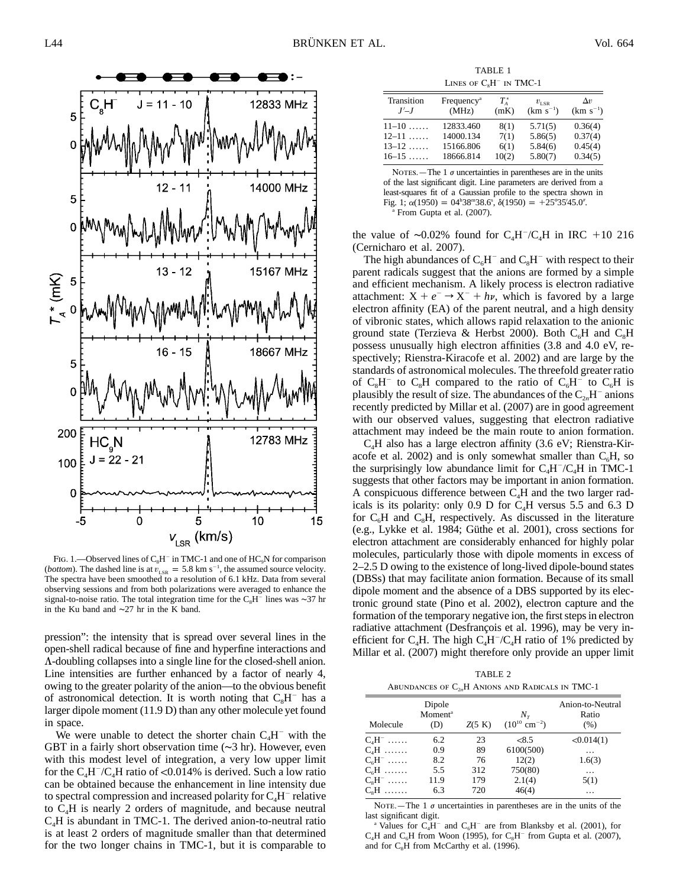

FIG. 1.—Observed lines of  $C_8H^-$  in TMC-1 and one of HC<sub>9</sub>N for comparison (*bottom*). The dashed line is at  $v_{LSR} = 5.8$  km s<sup>-1</sup>, the assumed source velocity. The spectra have been smoothed to a resolution of 6.1 kHz. Data from several observing sessions and from both polarizations were averaged to enhance the signal-to-noise ratio. The total integration time for the  $C_8H^-$  lines was ∼37 hr in the Ku band and ∼27 hr in the K band.

pression": the intensity that is spread over several lines in the open-shell radical because of fine and hyperfine interactions and L-doubling collapses into a single line for the closed-shell anion. Line intensities are further enhanced by a factor of nearly 4, owing to the greater polarity of the anion—to the obvious benefit of astronomical detection. It is worth noting that  $C_8H^-$  has a larger dipole moment (11.9 D) than any other molecule yet found in space.

We were unable to detect the shorter chain  $C_4H^-$  with the GBT in a fairly short observation time (∼3 hr). However, even with this modest level of integration, a very low upper limit for the  $C_4H^-/C_4H$  ratio of <0.014% is derived. Such a low ratio can be obtained because the enhancement in line intensity due to spectral compression and increased polarity for  $C_4H^-$  relative to C4H is nearly 2 orders of magnitude, and because neutral  $C<sub>4</sub>H$  is abundant in TMC-1. The derived anion-to-neutral ratio is at least 2 orders of magnitude smaller than that determined for the two longer chains in TMC-1, but it is comparable to

TABLE 1 LINES OF  $C_8H^-$  in TMC-1

| (MHz)<br>(mK) | $(km s^{-1})$                                    | $(km s^{-1})$                            |
|---------------|--------------------------------------------------|------------------------------------------|
|               | 5.71(5)<br>5.86(5)<br>5.84(6)                    | 0.36(4)<br>0.37(4)<br>0.45(4)<br>0.34(5) |
|               | 12833.460<br>14000.134<br>15166.806<br>18666.814 | 8(1)<br>7(1)<br>6(1)<br>5.80(7)<br>10(2) |

NOTES. — The 1  $\sigma$  uncertainties in parentheses are in the units of the last significant digit. Line parameters are derived from a least-squares fit of a Gaussian profile to the spectra shown in Fig. 1;  $\alpha(1950) = 04^{\text{h}}38^{\text{m}}38.6^{\text{s}}$ ,  $\delta(1950) = +25^{\circ}35'45.0''$ . <sup>a</sup> From Gupta et al. (2007).

the value of ~0.02% found for  $C_4H$ / $C_4H$  in IRC +10 216 (Cernicharo et al. 2007).

The high abundances of  $C_6H^-$  and  $C_8H^-$  with respect to their parent radicals suggest that the anions are formed by a simple and efficient mechanism. A likely process is electron radiative attachment:  $X + e^- \rightarrow X^- + h\nu$ , which is favored by a large electron affinity (EA) of the parent neutral, and a high density of vibronic states, which allows rapid relaxation to the anionic ground state (Terzieva & Herbst 2000). Both  $C_6H$  and  $C_8H$ possess unusually high electron affinities (3.8 and 4.0 eV, respectively; Rienstra-Kiracofe et al. 2002) and are large by the standards of astronomical molecules. The threefold greater ratio of  $C_8H^-$  to  $C_8H$  compared to the ratio of  $C_6H^-$  to  $C_6H$  is plausibly the result of size. The abundances of the C<sub>2n</sub>H<sup>-</sup> anions recently predicted by Millar et al. (2007) are in good agreement with our observed values, suggesting that electron radiative attachment may indeed be the main route to anion formation.

 $C<sub>4</sub>H$  also has a large electron affinity (3.6 eV; Rienstra-Kiracofe et al. 2002) and is only somewhat smaller than  $C_6H$ , so the surprisingly low abundance limit for  $C_4H^-/C_4H$  in TMC-1 suggests that other factors may be important in anion formation. A conspicuous difference between  $C_4H$  and the two larger radicals is its polarity: only 0.9 D for  $C<sub>4</sub>H$  versus 5.5 and 6.3 D for  $C_6H$  and  $C_8H$ , respectively. As discussed in the literature (e.g., Lykke et al. 1984; Güthe et al. 2001), cross sections for electron attachment are considerably enhanced for highly polar molecules, particularly those with dipole moments in excess of 2–2.5 D owing to the existence of long-lived dipole-bound states (DBSs) that may facilitate anion formation. Because of its small dipole moment and the absence of a DBS supported by its electronic ground state (Pino et al. 2002), electron capture and the formation of the temporary negative ion, the first steps in electron radiative attachment (Desfrançois et al. 1996), may be very inefficient for C<sub>4</sub>H. The high C<sub>4</sub>H<sup>-</sup>/C<sub>4</sub>H ratio of 1% predicted by Millar et al. (2007) might therefore only provide an upper limit

TABLE 2 ABUNDANCES OF C<sub>2</sub>H ANIONS AND RADICALS IN TMC-1

| Molecule | Dipole<br>Moment <sup>a</sup><br>(D) | Z(5 K) | $N_{\tau}$<br>$(10^{10}$ cm <sup>-2</sup> ) | Anion-to-Neutral<br>Ratio<br>(% ) |
|----------|--------------------------------------|--------|---------------------------------------------|-----------------------------------|
| $C4H-$   | 6.2                                  | 23     | <8.5                                        | < 0.014(1)                        |
| $C4H$    | 0.9                                  | 89     | 6100(500)                                   | .                                 |
| $C_6H^-$ | 8.2                                  | 76     | 12(2)                                       | 1.6(3)                            |
| $C_6H$   | 5.5                                  | 312    | 750(80)                                     | .                                 |
| $C_sH^-$ | 11.9                                 | 179    | 2.1(4)                                      | 5(1)                              |
| $C_sH$   | 6.3                                  | 720    | 46(4)                                       | $\cdots$                          |

NOTE.—The 1  $\sigma$  uncertainties in parentheses are in the units of the last significant digit.

<sup>a</sup> Values for  $C_4H^-$  and  $C_6H^-$  are from Blanksby et al. (2001), for  $C_4H$  and  $C_6H$  from Woon (1995), for  $C_8H^-$  from Gupta et al. (2007), and for  $C<sub>s</sub>H$  from McCarthy et al. (1996).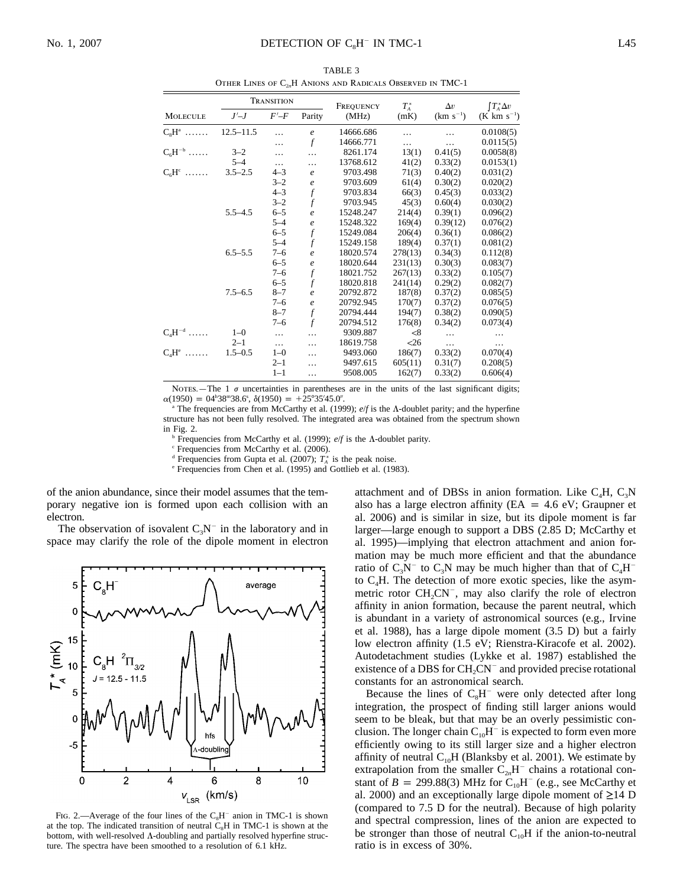|                      | <b>TRANSITION</b> |           |                  | FREQUENCY | $T_A^*$       | $\Delta v$    | $\int T_A^* \Delta v$ |
|----------------------|-------------------|-----------|------------------|-----------|---------------|---------------|-----------------------|
| <b>MOLECULE</b>      | $J'$ - $J$        | $F'-F$    | Parity           | (MHz)     | (mK)          | $(km s^{-1})$ | $(K \ km \ s^{-1})$   |
| $C_sH^a$             | $12.5 - 11.5$     | $\ddotsc$ | $\mathfrak{e}$   | 14666.686 |               |               | 0.0108(5)             |
|                      |                   |           | $\mathcal{f}$    | 14666.771 | .             | .             | 0.0115(5)             |
| $C_6H^{-b}$          | $3 - 2$           | $\cdots$  | $\ddotsc$        | 8261.174  | 13(1)         | 0.41(5)       | 0.0058(8)             |
|                      | $5 - 4$           | $\cdots$  | .                | 13768.612 | 41(2)         | 0.33(2)       | 0.0153(1)             |
| $C_6H^c$             | $3.5 - 2.5$       | $4 - 3$   | $\mathfrak{e}$   | 9703.498  | 71(3)         | 0.40(2)       | 0.031(2)              |
|                      |                   | $3 - 2$   | $\mathfrak{e}$   | 9703.609  | 61(4)         | 0.30(2)       | 0.020(2)              |
|                      |                   | $4 - 3$   | $\boldsymbol{f}$ | 9703.834  | 66(3)         | 0.45(3)       | 0.033(2)              |
|                      |                   | $3 - 2$   | $\overline{f}$   | 9703.945  | 45(3)         | 0.60(4)       | 0.030(2)              |
|                      | $5.5 - 4.5$       | $6 - 5$   | $\mathfrak{e}$   | 15248.247 | 214(4)        | 0.39(1)       | 0.096(2)              |
|                      |                   | $5 - 4$   | $\mathfrak{e}$   | 15248.322 | 169(4)        | 0.39(12)      | 0.076(2)              |
|                      |                   | $6 - 5$   | $\overline{f}$   | 15249.084 | 206(4)        | 0.36(1)       | 0.086(2)              |
|                      |                   | $5 - 4$   | $\mathcal{f}$    | 15249.158 | 189(4)        | 0.37(1)       | 0.081(2)              |
|                      | $6.5 - 5.5$       | $7 - 6$   | $\boldsymbol{e}$ | 18020.574 | 278(13)       | 0.34(3)       | 0.112(8)              |
|                      |                   | $6 - 5$   | $\boldsymbol{e}$ | 18020.644 | 231(13)       | 0.30(3)       | 0.083(7)              |
|                      |                   | $7 - 6$   | $\overline{f}$   | 18021.752 | 267(13)       | 0.33(2)       | 0.105(7)              |
|                      |                   | $6 - 5$   | $\mathbf f$      | 18020.818 | 241(14)       | 0.29(2)       | 0.082(7)              |
|                      | $7.5 - 6.5$       | $8 - 7$   | $\boldsymbol{e}$ | 20792.872 | 187(8)        | 0.37(2)       | 0.085(5)              |
|                      |                   | $7 - 6$   | $\boldsymbol{e}$ | 20792.945 | 170(7)        | 0.37(2)       | 0.076(5)              |
|                      |                   | $8 - 7$   | $\boldsymbol{f}$ | 20794.444 | 194(7)        | 0.38(2)       | 0.090(5)              |
|                      |                   | $7 - 6$   | $\mathcal{f}$    | 20794.512 | 176(8)        | 0.34(2)       | 0.073(4)              |
| $C_4H^{-d}$          | $1 - 0$           | $\ldots$  |                  | 9309.887  | $< \!\!8$     | $\cdots$      |                       |
|                      | $2 - 1$           | $\cdots$  | .                | 18619.758 | $\triangle 6$ | $\cdots$      |                       |
| $C_4H^e \dots \dots$ | $1.5 - 0.5$       | $1 - 0$   | .                | 9493.060  | 186(7)        | 0.33(2)       | 0.070(4)              |
|                      |                   | $2 - 1$   | .                | 9497.615  | 605(11)       | 0.31(7)       | 0.208(5)              |
|                      |                   | $1 - 1$   | .                | 9508.005  | 162(7)        | 0.33(2)       | 0.606(4)              |

TABLE 3 OTHER LINES OF C<sub>2n</sub>H ANIONS AND RADICALS OBSERVED IN TMC-1

NOTES.—The 1  $\sigma$  uncertainties in parentheses are in the units of the last significant digits;  $\alpha(1950) = 04^{\text{h}}38^{\text{m}}38.6^{\text{s}}, \delta(1950) = +25^{\circ}35'45.0''.$ 

The frequencies are from McCarthy et al. (1999); *e/f* is the Λ-doublet parity; and the hyperfine structure has not been fully resolved. The integrated area was obtained from the spectrum shown in Fig. 2.

<sup>b</sup> Frequencies from McCarthy et al. (1999);  $e/f$  is the  $\Lambda$ -doublet parity.<br>
<sup>c</sup> Frequencies from McCarthy et al. (2006).<br>
<sup>d</sup> Frequencies from Gupta et al. (2007);  $T_{\Lambda}^*$  is the peak noise.

<sup>e</sup> Frequencies from Chen et al. (1995) and Gottlieb et al. (1983).

of the anion abundance, since their model assumes that the temporary negative ion is formed upon each collision with an electron.

The observation of isovalent  $C_3N^-$  in the laboratory and in space may clarify the role of the dipole moment in electron



FIG. 2.—Average of the four lines of the  $C_8H^-$  anion in TMC-1 is shown at the top. The indicated transition of neutral  $C_8H$  in TMC-1 is shown at the bottom, with well-resolved  $\Lambda$ -doubling and partially resolved hyperfine structure. The spectra have been smoothed to a resolution of 6.1 kHz.

attachment and of DBSs in anion formation. Like  $C_4H$ ,  $C_3N$ also has a large electron affinity ( $EA = 4.6$  eV; Graupner et al. 2006) and is similar in size, but its dipole moment is far larger—large enough to support a DBS (2.85 D; McCarthy et al. 1995)—implying that electron attachment and anion formation may be much more efficient and that the abundance ratio of  $C_3N^-$  to  $C_3N$  may be much higher than that of  $C_4H^$ to  $C<sub>4</sub>H$ . The detection of more exotic species, like the asymmetric rotor  $CH_2CN^-$ , may also clarify the role of electron affinity in anion formation, because the parent neutral, which is abundant in a variety of astronomical sources (e.g., Irvine et al. 1988), has a large dipole moment (3.5 D) but a fairly low electron affinity (1.5 eV; Rienstra-Kiracofe et al. 2002). Autodetachment studies (Lykke et al. 1987) established the existence of a DBS for  $CH_2CN^-$  and provided precise rotational constants for an astronomical search.

Because the lines of  $C_8H^-$  were only detected after long integration, the prospect of finding still larger anions would seem to be bleak, but that may be an overly pessimistic conclusion. The longer chain  $C_{10}H^-$  is expected to form even more efficiently owing to its still larger size and a higher electron affinity of neutral  $C_{10}H$  (Blanksby et al. 2001). We estimate by extrapolation from the smaller  $C_{2n}H^-$  chains a rotational constant of  $B = 299.88(3)$  MHz for C<sub>10</sub>H<sup>-</sup> (e.g., see McCarthy et al. 2000) and an exceptionally large dipole moment of  $\geq$ 14 D (compared to 7.5 D for the neutral). Because of high polarity and spectral compression, lines of the anion are expected to be stronger than those of neutral  $C_{10}H$  if the anion-to-neutral ratio is in excess of 30%.